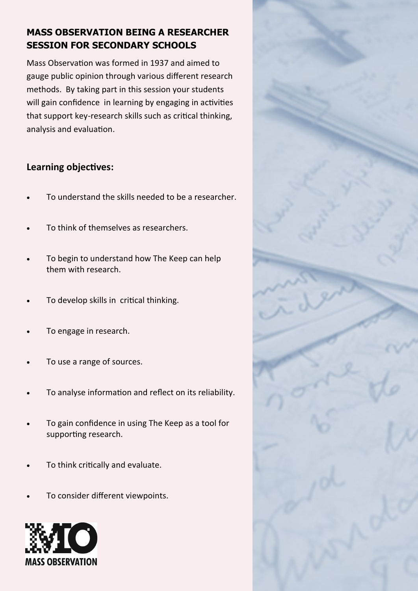### **MASS OBSERVATION BEING A RESEARCHER SESSION FOR SECONDARY SCHOOLS**

Mass Observation was formed in 1937 and aimed to gauge public opinion through various different research methods. By taking part in this session your students will gain confidence in learning by engaging in activities that support key-research skills such as critical thinking, analysis and evaluation.

#### **Learning objectives:**

- To understand the skills needed to be a researcher.
- To think of themselves as researchers.
- To begin to understand how The Keep can help them with research.
- To develop skills in critical thinking.
- To engage in research.
- To use a range of sources.
- To analyse information and reflect on its reliability.
- To gain confidence in using The Keep as a tool for supporting research.
- To think critically and evaluate.
- To consider different viewpoints.



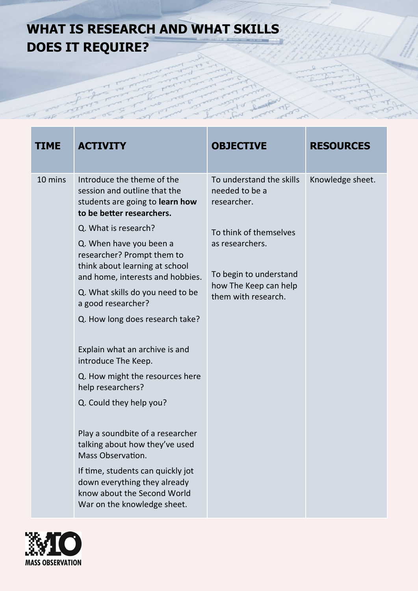## **WHAT IS RESEARCH AND WHAT SKILLS DOES IT REQUIRE?**

| TIME    | <b>ACTIVITY</b>                                                                                                                                                                                                                                                                                                                                                                                                                                                                                                                                                                                                                                                                                                                                          | <b>OBJECTIVE</b>                                                                                                                                                                 | <b>RESOURCES</b> |
|---------|----------------------------------------------------------------------------------------------------------------------------------------------------------------------------------------------------------------------------------------------------------------------------------------------------------------------------------------------------------------------------------------------------------------------------------------------------------------------------------------------------------------------------------------------------------------------------------------------------------------------------------------------------------------------------------------------------------------------------------------------------------|----------------------------------------------------------------------------------------------------------------------------------------------------------------------------------|------------------|
| 10 mins | Introduce the theme of the<br>session and outline that the<br>students are going to learn how<br>to be better researchers.<br>Q. What is research?<br>Q. When have you been a<br>researcher? Prompt them to<br>think about learning at school<br>and home, interests and hobbies.<br>Q. What skills do you need to be<br>a good researcher?<br>Q. How long does research take?<br>Explain what an archive is and<br>introduce The Keep.<br>Q. How might the resources here<br>help researchers?<br>Q. Could they help you?<br>Play a soundbite of a researcher<br>talking about how they've used<br>Mass Observation.<br>If time, students can quickly jot<br>down everything they already<br>know about the Second World<br>War on the knowledge sheet. | To understand the skills<br>needed to be a<br>researcher.<br>To think of themselves<br>as researchers.<br>To begin to understand<br>how The Keep can help<br>them with research. | Knowledge sheet. |

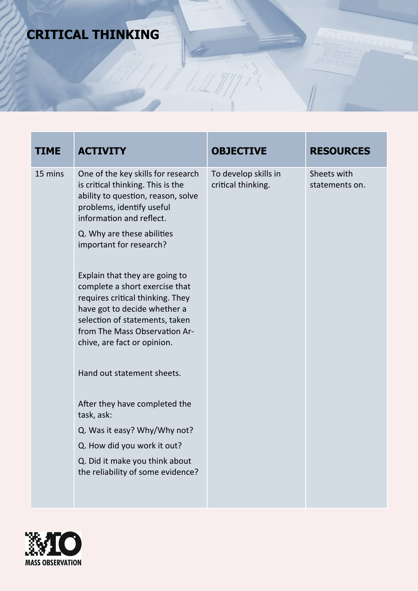# **CRITICAL THINKING**

| <b>TIME</b> | <b>ACTIVITY</b>                                                                                                                                                                                      | <b>OBJECTIVE</b>                           | <b>RESOURCES</b>              |
|-------------|------------------------------------------------------------------------------------------------------------------------------------------------------------------------------------------------------|--------------------------------------------|-------------------------------|
| 15 mins     | One of the key skills for research<br>is critical thinking. This is the<br>ability to question, reason, solve<br>problems, identify useful<br>information and reflect.<br>Q. Why are these abilities | To develop skills in<br>critical thinking. | Sheets with<br>statements on. |
|             | important for research?<br>Explain that they are going to                                                                                                                                            |                                            |                               |
|             | complete a short exercise that<br>requires critical thinking. They<br>have got to decide whether a<br>selection of statements, taken<br>from The Mass Observation Ar-<br>chive, are fact or opinion. |                                            |                               |
|             | Hand out statement sheets.                                                                                                                                                                           |                                            |                               |
|             | After they have completed the<br>task, ask:                                                                                                                                                          |                                            |                               |
|             | Q. Was it easy? Why/Why not?                                                                                                                                                                         |                                            |                               |
|             | Q. How did you work it out?                                                                                                                                                                          |                                            |                               |
|             | Q. Did it make you think about<br>the reliability of some evidence?                                                                                                                                  |                                            |                               |

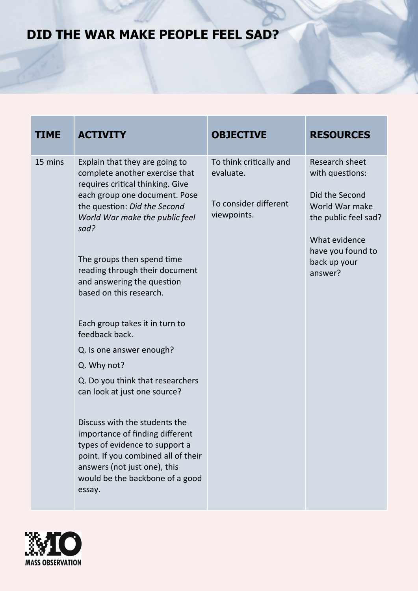### **DID THE WAR MAKE PEOPLE FEEL SAD?**

| TIME    | <b>ACTIVITY</b>                                                                                                                                                                                                                                                                                                                                                                                                                                                                                                                              | <b>OBJECTIVE</b>                                                             | <b>RESOURCES</b>                                                                                                                                               |
|---------|----------------------------------------------------------------------------------------------------------------------------------------------------------------------------------------------------------------------------------------------------------------------------------------------------------------------------------------------------------------------------------------------------------------------------------------------------------------------------------------------------------------------------------------------|------------------------------------------------------------------------------|----------------------------------------------------------------------------------------------------------------------------------------------------------------|
| 15 mins | Explain that they are going to<br>complete another exercise that<br>requires critical thinking. Give<br>each group one document. Pose<br>the question: Did the Second<br>World War make the public feel<br>sad?<br>The groups then spend time<br>reading through their document<br>and answering the question<br>based on this research.<br>Each group takes it in turn to<br>feedback back.<br>Q. Is one answer enough?<br>Q. Why not?<br>Q. Do you think that researchers<br>can look at just one source?<br>Discuss with the students the | To think critically and<br>evaluate.<br>To consider different<br>viewpoints. | Research sheet<br>with questions:<br>Did the Second<br>World War make<br>the public feel sad?<br>What evidence<br>have you found to<br>back up your<br>answer? |
|         | importance of finding different<br>types of evidence to support a<br>point. If you combined all of their<br>answers (not just one), this<br>would be the backbone of a good<br>essay.                                                                                                                                                                                                                                                                                                                                                        |                                                                              |                                                                                                                                                                |

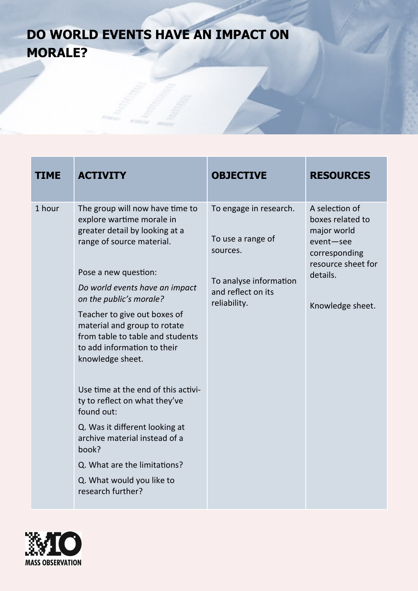# **DO WORLD EVENTS HAVE AN IMPACT ON MORALE?**

| TIME   | <b>ACTIVITY</b>                                                                                                                                                                                                                                                                                                                                                                                                                                                                                                                                                                                                             | <b>OBJECTIVE</b>                                                                                                        | <b>RESOURCES</b>                                                                                                                      |
|--------|-----------------------------------------------------------------------------------------------------------------------------------------------------------------------------------------------------------------------------------------------------------------------------------------------------------------------------------------------------------------------------------------------------------------------------------------------------------------------------------------------------------------------------------------------------------------------------------------------------------------------------|-------------------------------------------------------------------------------------------------------------------------|---------------------------------------------------------------------------------------------------------------------------------------|
| 1 hour | The group will now have time to<br>explore wartime morale in<br>greater detail by looking at a<br>range of source material.<br>Pose a new question:<br>Do world events have an impact<br>on the public's morale?<br>Teacher to give out boxes of<br>material and group to rotate<br>from table to table and students<br>to add information to their<br>knowledge sheet.<br>Use time at the end of this activi-<br>ty to reflect on what they've<br>found out:<br>Q. Was it different looking at<br>archive material instead of a<br>book?<br>Q. What are the limitations?<br>Q. What would you like to<br>research further? | To engage in research.<br>To use a range of<br>sources.<br>To analyse information<br>and reflect on its<br>reliability. | A selection of<br>boxes related to<br>major world<br>event-see<br>corresponding<br>resource sheet for<br>details.<br>Knowledge sheet. |